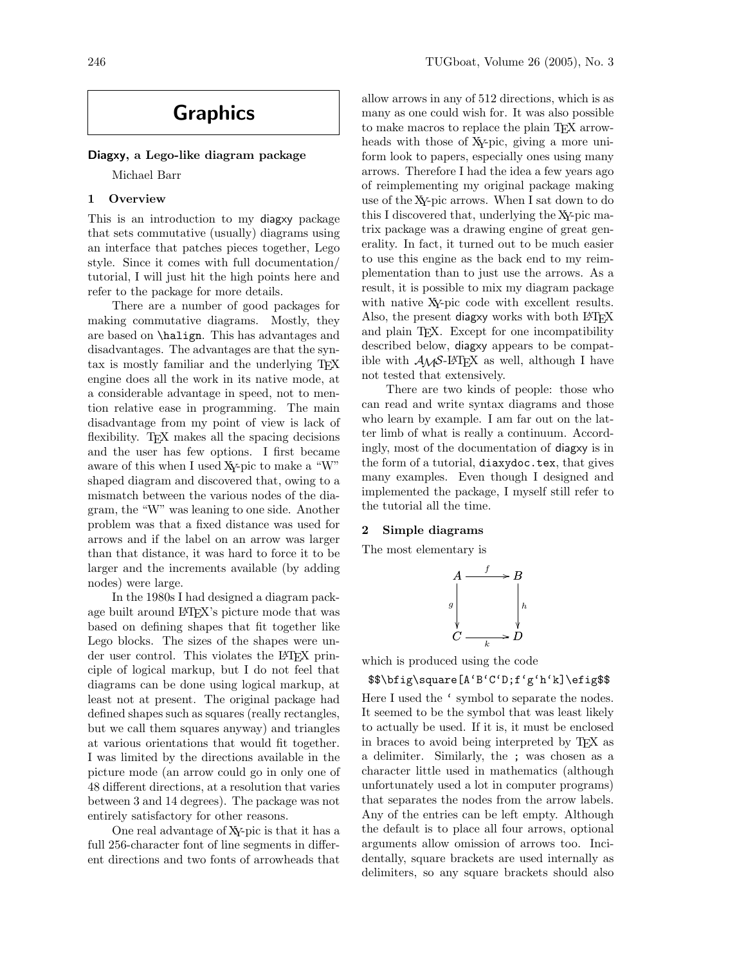# Graphics

## Diagxy, a Lego-like diagram package

Michael Barr

# 1 Overview

This is an introduction to my diagxy package that sets commutative (usually) diagrams using an interface that patches pieces together, Lego style. Since it comes with full documentation/ tutorial, I will just hit the high points here and refer to the package for more details.

There are a number of good packages for making commutative diagrams. Mostly, they are based on \halign. This has advantages and disadvantages. The advantages are that the syntax is mostly familiar and the underlying T<sub>EX</sub> engine does all the work in its native mode, at a considerable advantage in speed, not to mention relative ease in programming. The main disadvantage from my point of view is lack of flexibility. TEX makes all the spacing decisions and the user has few options. I first became aware of this when I used XY-pic to make a "W" shaped diagram and discovered that, owing to a mismatch between the various nodes of the diagram, the "W" was leaning to one side. Another problem was that a fixed distance was used for arrows and if the label on an arrow was larger than that distance, it was hard to force it to be larger and the increments available (by adding nodes) were large.

In the 1980s I had designed a diagram package built around LAT<sub>EX</sub>'s picture mode that was based on defining shapes that fit together like Lego blocks. The sizes of the shapes were under user control. This violates the L<sup>AT</sup>FX principle of logical markup, but I do not feel that diagrams can be done using logical markup, at least not at present. The original package had defined shapes such as squares (really rectangles, but we call them squares anyway) and triangles at various orientations that would fit together. I was limited by the directions available in the picture mode (an arrow could go in only one of 48 different directions, at a resolution that varies between 3 and 14 degrees). The package was not entirely satisfactory for other reasons.

One real advantage of XY-pic is that it has a full 256-character font of line segments in different directions and two fonts of arrowheads that

allow arrows in any of 512 directions, which is as many as one could wish for. It was also possible to make macros to replace the plain TEX arrowheads with those of XY-pic, giving a more uniform look to papers, especially ones using many arrows. Therefore I had the idea a few years ago of reimplementing my original package making use of the XY-pic arrows. When I sat down to do this I discovered that, underlying the XY-pic matrix package was a drawing engine of great generality. In fact, it turned out to be much easier to use this engine as the back end to my reimplementation than to just use the arrows. As a result, it is possible to mix my diagram package with native XY-pic code with excellent results. Also, the present diagxy works with both LAT<sub>EX</sub> and plain T<sub>EX</sub>. Except for one incompatibility described below, diagxy appears to be compatible with  $A\mathcal{M}S$ -L<sup>AT</sup>EX as well, although I have not tested that extensively.

There are two kinds of people: those who can read and write syntax diagrams and those who learn by example. I am far out on the latter limb of what is really a continuum. Accordingly, most of the documentation of diagxy is in the form of a tutorial, diaxydoc.tex, that gives many examples. Even though I designed and implemented the package, I myself still refer to the tutorial all the time.

## 2 Simple diagrams

The most elementary is

$$
A \xrightarrow{f} B
$$
\n
$$
g \downarrow h
$$
\n
$$
C \xrightarrow{k} D
$$

which is produced using the code

## \$\$\bfig\square[A'B'C'D;f'g'h'k]\efig\$\$

Here I used the ' symbol to separate the nodes. It seemed to be the symbol that was least likely to actually be used. If it is, it must be enclosed in braces to avoid being interpreted by TEX as a delimiter. Similarly, the ; was chosen as a character little used in mathematics (although unfortunately used a lot in computer programs) that separates the nodes from the arrow labels. Any of the entries can be left empty. Although the default is to place all four arrows, optional arguments allow omission of arrows too. Incidentally, square brackets are used internally as delimiters, so any square brackets should also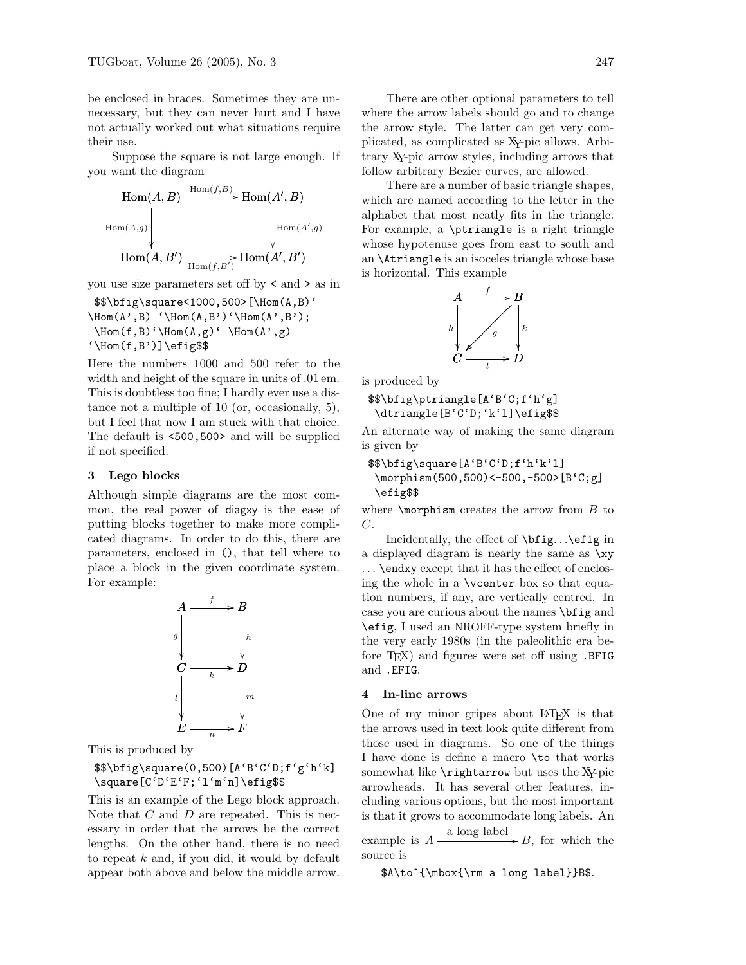be enclosed in braces. Sometimes they are unnecessary, but they can never hurt and I have not actually worked out what situations require their use.

Suppose the square is not large enough. If you want the diagram



you use size parameters set off by < and > as in

```
$$\bfig\square<1000,500>[\Hom(A,B)'
\hom(A', B) '\Hom(A, B')'\Hom(A', B');
\hom(f, B)' \Hom(A, g)' \Hom(A', g)'\Hom(f,B')]\efig$$
```
Here the numbers 1000 and 500 refer to the width and height of the square in units of .01 em. This is doubtless too fine; I hardly ever use a distance not a multiple of 10 (or, occasionally, 5), but I feel that now I am stuck with that choice. The default is <500,500> and will be supplied if not specified.

## 3 Lego blocks

Although simple diagrams are the most common, the real power of diagxy is the ease of putting blocks together to make more complicated diagrams. In order to do this, there are parameters, enclosed in (), that tell where to place a block in the given coordinate system. For example:



This is produced by

\$\$\bfig\square(0,500)[A'B'C'D;f'g'h'k] \square[C'D'E'F;'l'm'n]\efig\$\$

This is an example of the Lego block approach. Note that  $C$  and  $D$  are repeated. This is necessary in order that the arrows be the correct lengths. On the other hand, there is no need to repeat  $k$  and, if you did, it would by default appear both above and below the middle arrow.

There are other optional parameters to tell where the arrow labels should go and to change the arrow style. The latter can get very complicated, as complicated as XY-pic allows. Arbitrary XY-pic arrow styles, including arrows that follow arbitrary Bezier curves, are allowed.

There are a number of basic triangle shapes, which are named according to the letter in the alphabet that most neatly fits in the triangle. For example, a \ptriangle is a right triangle whose hypotenuse goes from east to south and an \Atriangle is an isoceles triangle whose base is horizontal. This example



is produced by

\$\$\bfig\ptriangle[A'B'C;f'h'g] \dtriangle[B'C'D;'k'l]\efig\$\$

An alternate way of making the same diagram is given by

```
$$\bfig\square[A'B'C'D;f'h'k'l]
 \morphism(500,500)<-500,-500>[B'C;g]
 \efig$$
```
where  $\emptyset$  where  $\mathcal{S}$  to  $C$ .

Incidentally, the effect of \bfig. . .\efig in a displayed diagram is nearly the same as \xy . . . \endxy except that it has the effect of enclosing the whole in a \vcenter box so that equation numbers, if any, are vertically centred. In case you are curious about the names \bfig and \efig, I used an NROFF-type system briefly in the very early 1980s (in the paleolithic era before T<sub>F</sub>X) and figures were set off using .BFIG and .EFIG.

#### 4 In-line arrows

One of my minor gripes about LATEX is that the arrows used in text look quite different from those used in diagrams. So one of the things I have done is define a macro \to that works somewhat like  $\rightarrow$  but uses the XY-pic arrowheads. It has several other features, including various options, but the most important is that it grows to accommodate long labels. An

example is  $A \xrightarrow{\text{a long label}} B$ , for which the source is

\$A\to^{\mbox{\rm a long label}}B\$.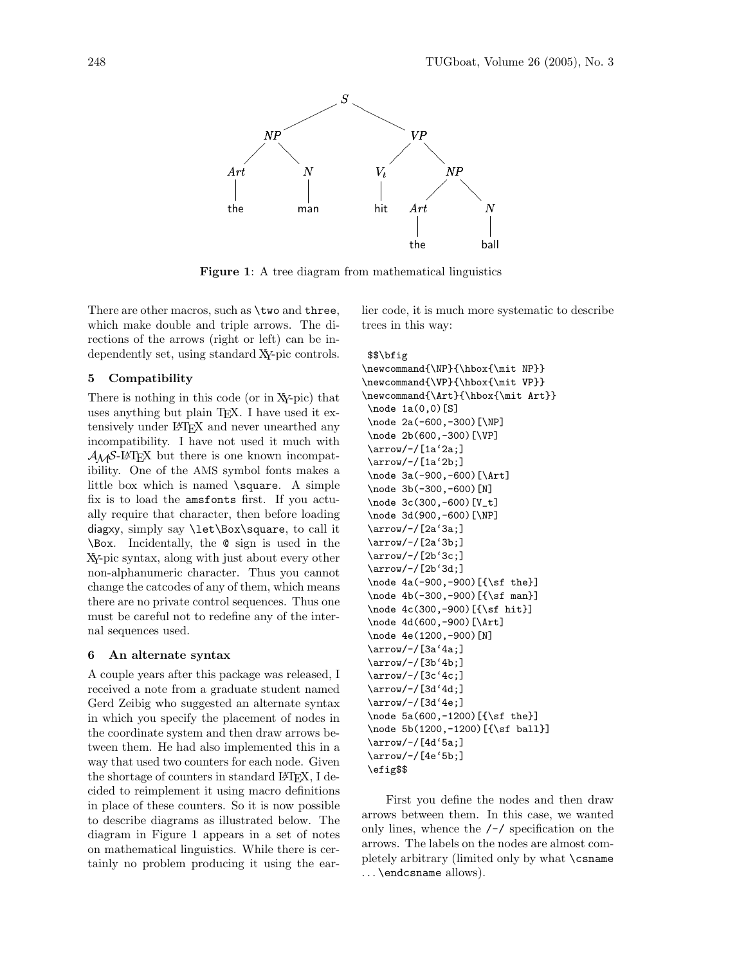

Figure 1: A tree diagram from mathematical linguistics

There are other macros, such as  $\times$  and three, which make double and triple arrows. The directions of the arrows (right or left) can be independently set, using standard XY-pic controls.

## 5 Compatibility

There is nothing in this code (or in XY-pic) that uses anything but plain T<sub>EX</sub>. I have used it extensively under LAT<sub>EX</sub> and never unearthed any incompatibility. I have not used it much with  $\mathcal{A}\mathcal{A}\mathcal{S}\text{-}\mathcal{B}\text{Tr}X$  but there is one known incompatibility. One of the AMS symbol fonts makes a little box which is named  $\square$ square. A simple fix is to load the amsfonts first. If you actually require that character, then before loading diagxy, simply say \let\Box\square, to call it \Box. Incidentally, the @ sign is used in the XY-pic syntax, along with just about every other non-alphanumeric character. Thus you cannot change the catcodes of any of them, which means there are no private control sequences. Thus one must be careful not to redefine any of the internal sequences used.

## 6 An alternate syntax

A couple years after this package was released, I received a note from a graduate student named Gerd Zeibig who suggested an alternate syntax in which you specify the placement of nodes in the coordinate system and then draw arrows between them. He had also implemented this in a way that used two counters for each node. Given the shortage of counters in standard LAT<sub>EX</sub>, I decided to reimplement it using macro definitions in place of these counters. So it is now possible to describe diagrams as illustrated below. The diagram in Figure 1 appears in a set of notes on mathematical linguistics. While there is certainly no problem producing it using the earlier code, it is much more systematic to describe trees in this way:

#### \$\$\bfig

```
\newcommand{\NP}{\hbox{\mit NP}}
\newcommand{\VP}{\hbox{\mit VP}}
\newcommand{\Art}{\hbox{\mit Art}}
\node 1a(0,0)[S]
\node 2a(-600,-300)[\NP]
\node 2b(600,-300)[\VP]
\arrow/-/[1a'2a;]
\arrow/-/[1a'2b;]
\node 3a(-900,-600)[\Art]
\node 3b(-300,-600)[N]
\node 3c(300,-600)[V_t]
\node 3d(900,-600)[\NP]
\arrow/-/[2a'3a;]
\arrow/-/[2a'3b;]
\arrow/-/[2b'3c;]
\arrow/-/[2b'3d;]
\node 4a(-900,-900)[{\sf the}]
\node 4b(-300,-900)[{\sf man}]
\node 4c(300,-900)[{\sf hit}]
\node 4d(600,-900)[\Art]
\node 4e(1200,-900)[N]
\arrow/-/[3a'4a;]
\arrow/-/[3b'4b;]
\arrow/-/[3c'4c;]
\arrow/-/[3d'4d;]
\arrow/-/[3d'4e;]
\node 5a(600,-1200)[{\sf the}]
\node 5b(1200,-1200)[{\sf ball}]
\arrow/-/[4d'5a;]
\arrow/-/[4e'5b;]
\efig$$
```
First you define the nodes and then draw arrows between them. In this case, we wanted only lines, whence the  $\ell$ - $\ell$  specification on the arrows. The labels on the nodes are almost completely arbitrary (limited only by what \csname ... \endcsname allows).